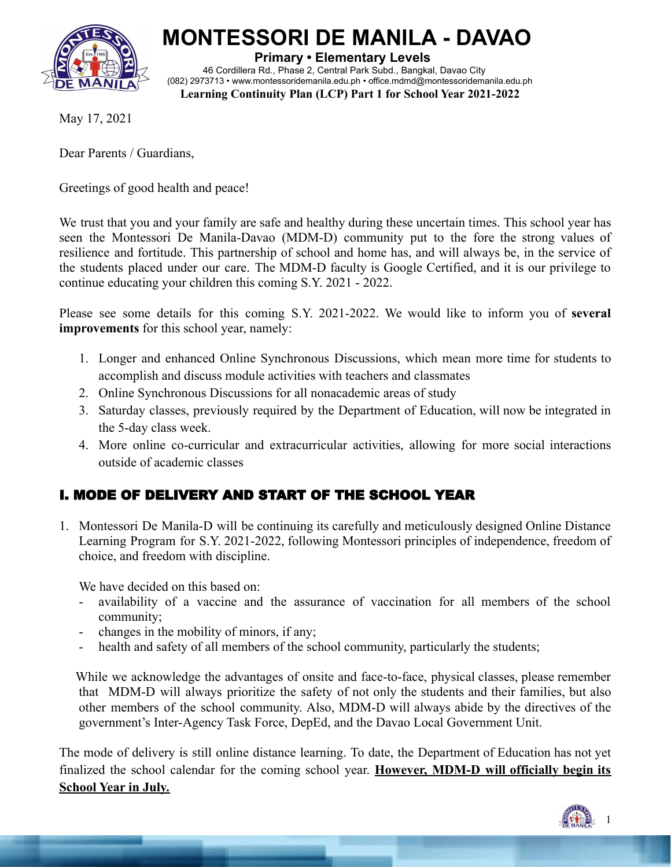

# **MONTESSORI DE MANILA - DAVAO**

**Primary • Elementary Levels** 46 Cordillera Rd., Phase 2, Central Park Subd., Bangkal, Davao City (082) 2973713 • [www.montessoridemanila.edu.ph](http://www.montessoridemanila.edu.ph) • office.mdmd@montessoridemanila.edu.ph **Learning Continuity Plan (LCP) Part 1 for School Year 2021-2022**

May 17, 2021

Dear Parents / Guardians,

Greetings of good health and peace!

We trust that you and your family are safe and healthy during these uncertain times. This school year has seen the Montessori De Manila-Davao (MDM-D) community put to the fore the strong values of resilience and fortitude. This partnership of school and home has, and will always be, in the service of the students placed under our care. The MDM-D faculty is Google Certified, and it is our privilege to continue educating your children this coming S.Y. 2021 - 2022.

Please see some details for this coming S.Y. 2021-2022. We would like to inform you of **several improvements** for this school year, namely:

- 1. Longer and enhanced Online Synchronous Discussions, which mean more time for students to accomplish and discuss module activities with teachers and classmates
- 2. Online Synchronous Discussions for all nonacademic areas of study
- 3. Saturday classes, previously required by the Department of Education, will now be integrated in the 5-day class week.
- 4. More online co-curricular and extracurricular activities, allowing for more social interactions outside of academic classes

# I. MODE OF DELIVERY AND START OF THE SCHOOL YEAR

1. Montessori De Manila-D will be continuing its carefully and meticulously designed Online Distance Learning Program for S.Y. 2021-2022, following Montessori principles of independence, freedom of choice, and freedom with discipline.

We have decided on this based on:

- availability of a vaccine and the assurance of vaccination for all members of the school community;
- changes in the mobility of minors, if any;
- health and safety of all members of the school community, particularly the students;

While we acknowledge the advantages of onsite and face-to-face, physical classes, please remember that MDM-D will always prioritize the safety of not only the students and their families, but also other members of the school community. Also, MDM-D will always abide by the directives of the government's Inter-Agency Task Force, DepEd, and the Davao Local Government Unit.

The mode of delivery is still online distance learning. To date, the Department of Education has not yet finalized the school calendar for the coming school year. **However, MDM-D will officially begin its School Year in July.**

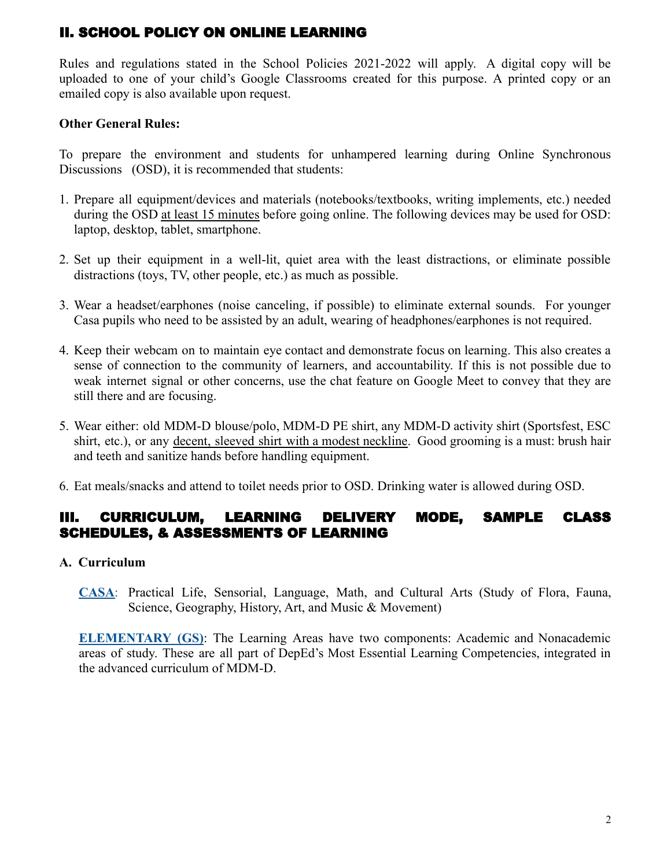# II. SCHOOL POLICY ON ONLINE LEARNING

Rules and regulations stated in the School Policies 2021-2022 will apply. A digital copy will be uploaded to one of your child's Google Classrooms created for this purpose. A printed copy or an emailed copy is also available upon request.

### **Other General Rules:**

To prepare the environment and students for unhampered learning during Online Synchronous Discussions (OSD), it is recommended that students:

- 1. Prepare all equipment/devices and materials (notebooks/textbooks, writing implements, etc.) needed during the OSD at least 15 minutes before going online. The following devices may be used for OSD: laptop, desktop, tablet, smartphone.
- 2. Set up their equipment in a well-lit, quiet area with the least distractions, or eliminate possible distractions (toys, TV, other people, etc.) as much as possible.
- 3. Wear a headset/earphones (noise canceling, if possible) to eliminate external sounds. For younger Casa pupils who need to be assisted by an adult, wearing of headphones/earphones is not required.
- 4. Keep their webcam on to maintain eye contact and demonstrate focus on learning. This also creates a sense of connection to the community of learners, and accountability. If this is not possible due to weak internet signal or other concerns, use the chat feature on Google Meet to convey that they are still there and are focusing.
- 5. Wear either: old MDM-D blouse/polo, MDM-D PE shirt, any MDM-D activity shirt (Sportsfest, ESC shirt, etc.), or any decent, sleeved shirt with a modest neckline. Good grooming is a must: brush hair and teeth and sanitize hands before handling equipment.
- 6. Eat meals/snacks and attend to toilet needs prior to OSD. Drinking water is allowed during OSD.

# III. CURRICULUM, LEARNING DELIVERY MODE, SAMPLE CLASS SCHEDULES, & ASSESSMENTS OF LEARNING

#### **A. Curriculum**

**CASA**: Practical Life, Sensorial, Language, Math, and Cultural Arts (Study of Flora, Fauna, Science, Geography, History, Art, and Music & Movement)

**ELEMENTARY (GS)**: The Learning Areas have two components: Academic and Nonacademic areas of study. These are all part of DepEd's Most Essential Learning Competencies, integrated in the advanced curriculum of MDM-D.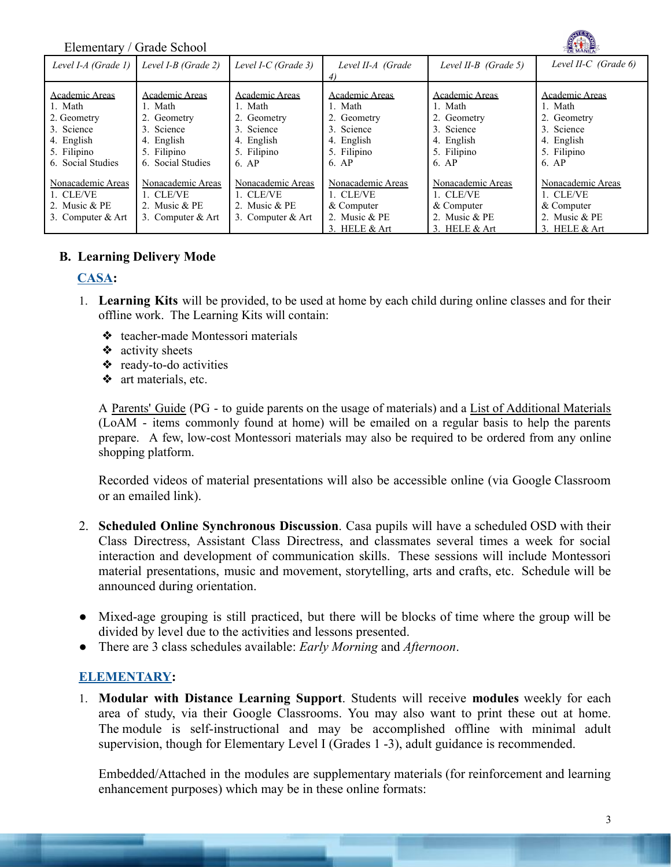Elementary / Grade School

| Level I-A (Grade 1)                                                                                      | Level I-B (Grade 2)                                                                                             | Level I-C (Grade 3)                                                                          | Level II-A (Grade                                                                            | Level II-B $(Grade 5)$                                                                       | Level II-C (Grade $6$ )                                                                      |
|----------------------------------------------------------------------------------------------------------|-----------------------------------------------------------------------------------------------------------------|----------------------------------------------------------------------------------------------|----------------------------------------------------------------------------------------------|----------------------------------------------------------------------------------------------|----------------------------------------------------------------------------------------------|
| Academic Areas<br>1. Math<br>2. Geometry<br>3. Science<br>4. English<br>5. Filipino<br>6. Social Studies | <b>Academic Areas</b><br>1. Math<br>2. Geometry<br>3. Science<br>4. English<br>5. Filipino<br>6. Social Studies | Academic Areas<br>1. Math<br>2. Geometry<br>3. Science<br>4. English<br>5. Filipino<br>6. AP | Academic Areas<br>1. Math<br>2. Geometry<br>3. Science<br>4. English<br>5. Filipino<br>6. AP | Academic Areas<br>1. Math<br>2. Geometry<br>3. Science<br>4. English<br>5. Filipino<br>6. AP | Academic Areas<br>1. Math<br>2. Geometry<br>3. Science<br>4. English<br>5. Filipino<br>6. AP |
| Nonacademic Areas<br>1. CLE/VE<br>2. Music $&$ PE<br>3. Computer $& Art$                                 | Nonacademic Areas<br>1. CLE/VE<br>2. Music $&$ PE<br>3. Computer $&$ Art                                        | Nonacademic Areas<br>1. CLE/VE<br>2. Music $&$ PE<br>3. Computer $& Art$                     | Nonacademic Areas<br>1. CLE/VE<br>& Computer<br>2. Music & PE<br>3. HELE $&$ Art             | Nonacademic Areas<br>1. CLE/VE<br>$&$ Computer<br>2. Music & PE<br>3. HELE $&$ Art           | Nonacademic Areas<br>1. CLE/VE<br>& Computer<br>2. Music & PE<br>3. HELE $&$ Art             |

#### **B. Learning Delivery Mode**

#### **CASA:**

- 1. **Learning Kits** will be provided, to be used at home by each child during online classes and for their offline work. The Learning Kits will contain:
	- ❖ teacher-made Montessori materials
	- ❖ activity sheets
	- ❖ ready-to-do activities
	- ❖ art materials, etc.

A Parents' Guide (PG - to guide parents on the usage of materials) and a List of Additional Materials (LoAM - items commonly found at home) will be emailed on a regular basis to help the parents prepare. A few, low-cost Montessori materials may also be required to be ordered from any online shopping platform.

Recorded videos of material presentations will also be accessible online (via Google Classroom or an emailed link).

- 2. **Scheduled Online Synchronous Discussion**. Casa pupils will have a scheduled OSD with their Class Directress, Assistant Class Directress, and classmates several times a week for social interaction and development of communication skills. These sessions will include Montessori material presentations, music and movement, storytelling, arts and crafts, etc. Schedule will be announced during orientation.
- Mixed-age grouping is still practiced, but there will be blocks of time where the group will be divided by level due to the activities and lessons presented.
- There are 3 class schedules available: *Early Morning* and *Afternoon*.

#### **ELEMENTARY:**

1. **Modular with Distance Learning Support**. Students will receive **modules** weekly for each area of study, via their Google Classrooms. You may also want to print these out at home. The module is self-instructional and may be accomplished offline with minimal adult supervision, though for Elementary Level I (Grades 1 -3), adult guidance is recommended.

Embedded/Attached in the modules are supplementary materials (for reinforcement and learning enhancement purposes) which may be in these online formats: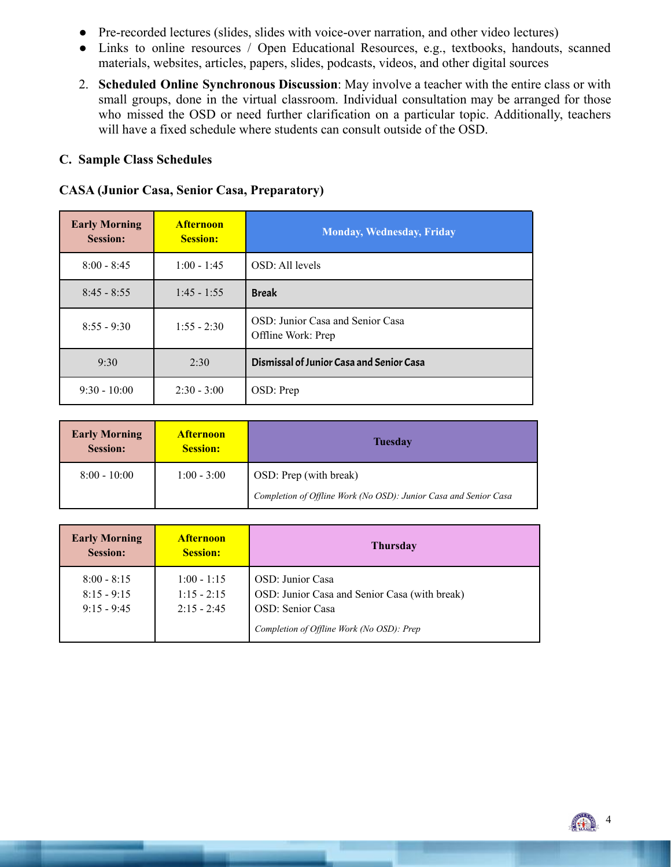- Pre-recorded lectures (slides, slides with voice-over narration, and other video lectures)
- Links to online resources / Open Educational Resources, e.g., textbooks, handouts, scanned materials, websites, articles, papers, slides, podcasts, videos, and other digital sources
- 2. **Scheduled Online Synchronous Discussion**: May involve a teacher with the entire class or with small groups, done in the virtual classroom. Individual consultation may be arranged for those who missed the OSD or need further clarification on a particular topic. Additionally, teachers will have a fixed schedule where students can consult outside of the OSD.

#### **C. Sample Class Schedules**

#### **CASA (Junior Casa, Senior Casa, Preparatory)**

| <b>Early Morning</b><br><b>Session:</b> | <b>Afternoon</b><br><b>Session:</b> | <b>Monday, Wednesday, Friday</b>                       |
|-----------------------------------------|-------------------------------------|--------------------------------------------------------|
| $8:00 - 8:45$                           | $1:00 - 1:45$                       | OSD: All levels                                        |
| $8:45 - 8:55$                           | $1:45 - 1:55$                       | <b>Break</b>                                           |
| $8:55 - 9:30$                           | $1:55 - 2:30$                       | OSD: Junior Casa and Senior Casa<br>Offline Work: Prep |
| 9:30                                    | 2:30                                | Dismissal of Junior Casa and Senior Casa               |
| $9:30 - 10:00$                          | $2:30 - 3:00$                       | OSD: Prep                                              |

| <b>Early Morning</b><br><b>Session:</b> | <b>Afternoon</b><br><b>Session:</b> | <b>Tuesday</b>                                                   |  |
|-----------------------------------------|-------------------------------------|------------------------------------------------------------------|--|
| $8:00 - 10:00$                          | $1:00 - 3:00$                       | OSD: Prep (with break)                                           |  |
|                                         |                                     | Completion of Offline Work (No OSD): Junior Casa and Senior Casa |  |

| <b>Early Morning</b><br><b>Session:</b>         | <b>Afternoon</b><br><b>Session:</b>             | <b>Thursday</b>                                                                                                                    |
|-------------------------------------------------|-------------------------------------------------|------------------------------------------------------------------------------------------------------------------------------------|
| $8:00 - 8:15$<br>$8:15 - 9:15$<br>$9:15 - 9:45$ | $1:00 - 1:15$<br>$1:15 - 2:15$<br>$2:15 - 2:45$ | OSD: Junior Casa<br>OSD: Junior Casa and Senior Casa (with break)<br>OSD: Senior Casa<br>Completion of Offline Work (No OSD): Prep |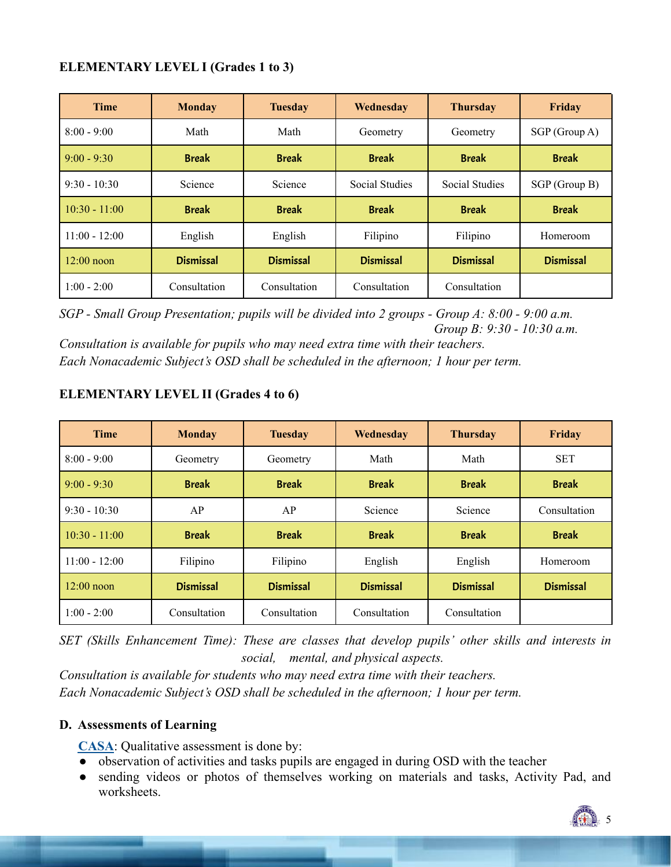#### **ELEMENTARY LEVEL I (Grades 1 to 3)**

| <b>Time</b>     | <b>Monday</b>    | <b>Tuesday</b>   | Wednesday             | <b>Thursday</b>       | Friday           |
|-----------------|------------------|------------------|-----------------------|-----------------------|------------------|
| $8:00 - 9:00$   | Math             | Math             | Geometry              | Geometry              | SGP(Group A)     |
| $9:00 - 9:30$   | <b>Break</b>     | <b>Break</b>     | <b>Break</b>          | <b>Break</b>          | <b>Break</b>     |
| $9:30 - 10:30$  | Science          | Science          | <b>Social Studies</b> | <b>Social Studies</b> | SGP (Group B)    |
| $10:30 - 11:00$ | <b>Break</b>     | <b>Break</b>     | <b>Break</b>          | <b>Break</b>          | <b>Break</b>     |
| $11:00 - 12:00$ | English          | English          | Filipino              | Filipino              | Homeroom         |
| $12:00$ noon    | <b>Dismissal</b> | <b>Dismissal</b> | <b>Dismissal</b>      | <b>Dismissal</b>      | <b>Dismissal</b> |
| $1:00 - 2:00$   | Consultation     | Consultation     | Consultation          | Consultation          |                  |

*SGP - Small Group Presentation; pupils will be divided into 2 groups - Group A: 8:00 - 9:00 a.m. Group B: 9:30 - 10:30 a.m.*

*Consultation is available for pupils who may need extra time with their teachers. Each Nonacademic Subject's OSD shall be scheduled in the afternoon; 1 hour per term.*

| <b>Time</b>     | <b>Monday</b>    | <b>Tuesday</b>   | Wednesday        | <b>Thursday</b>  | Friday           |
|-----------------|------------------|------------------|------------------|------------------|------------------|
| $8:00 - 9:00$   | Geometry         | Geometry         | Math             | Math             | <b>SET</b>       |
| $9:00 - 9:30$   | <b>Break</b>     | <b>Break</b>     | <b>Break</b>     | <b>Break</b>     | <b>Break</b>     |
| $9:30 - 10:30$  | AP               | AP               | Science          | Science          | Consultation     |
| $10:30 - 11:00$ | <b>Break</b>     | <b>Break</b>     | <b>Break</b>     | <b>Break</b>     | <b>Break</b>     |
| $11:00 - 12:00$ | Filipino         | Filipino         | English          | English          | Homeroom         |
| $12:00$ noon    | <b>Dismissal</b> | <b>Dismissal</b> | <b>Dismissal</b> | <b>Dismissal</b> | <b>Dismissal</b> |
| $1:00 - 2:00$   | Consultation     | Consultation     | Consultation     | Consultation     |                  |

## **ELEMENTARY LEVEL II (Grades 4 to 6)**

*SET (Skills Enhancement Time): These are classes that develop pupils' other skills and interests in social, mental, and physical aspects.*

*Consultation is available for students who may need extra time with their teachers. Each Nonacademic Subject's OSD shall be scheduled in the afternoon; 1 hour per term.*

#### **D. Assessments of Learning**

**CASA**: Qualitative assessment is done by:

- observation of activities and tasks pupils are engaged in during OSD with the teacher
- sending videos or photos of themselves working on materials and tasks, Activity Pad, and worksheets.

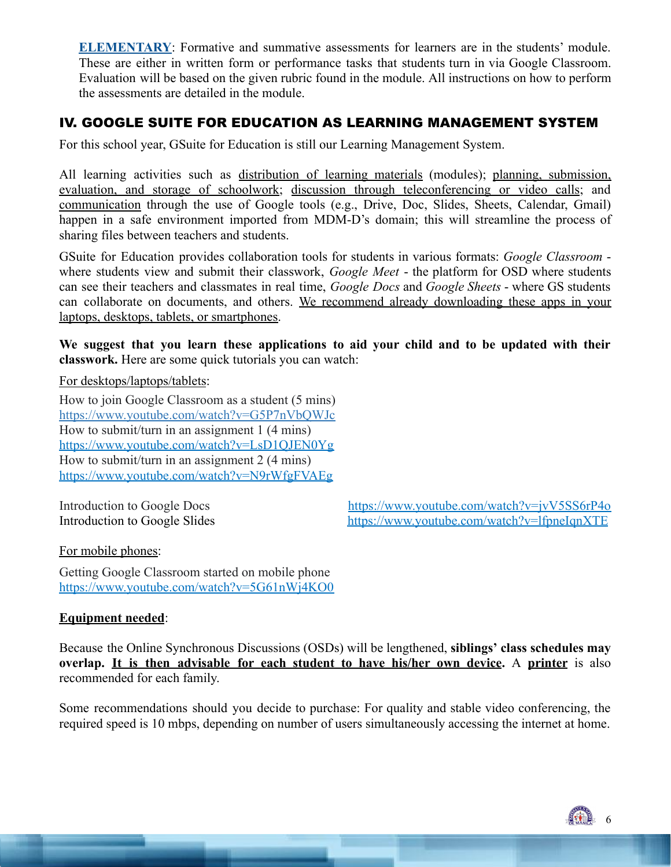**ELEMENTARY**: Formative and summative assessments for learners are in the students' module. These are either in written form or performance tasks that students turn in via Google Classroom. Evaluation will be based on the given rubric found in the module. All instructions on how to perform the assessments are detailed in the module.

# IV. GOOGLE SUITE FOR EDUCATION AS LEARNING MANAGEMENT SYSTEM

For this school year, GSuite for Education is still our Learning Management System.

All learning activities such as distribution of learning materials (modules); planning, submission, evaluation, and storage of schoolwork; discussion through teleconferencing or video calls; and communication through the use of Google tools (e.g., Drive, Doc, Slides, Sheets, Calendar, Gmail) happen in a safe environment imported from MDM-D's domain; this will streamline the process of sharing files between teachers and students.

GSuite for Education provides collaboration tools for students in various formats: *Google Classroom* where students view and submit their classwork, *Google Meet* - the platform for OSD where students can see their teachers and classmates in real time, *Google Docs* and *Google Sheets* - where GS students can collaborate on documents, and others. We recommend already downloading these apps in your laptops, desktops, tablets, or smartphones.

**We suggest that you learn these applications to aid your child and to be updated with their classwork.** Here are some quick tutorials you can watch:

For desktops/laptops/tablets:

How to join Google Classroom as a student (5 mins[\)](https://www.youtube.com/watch?v=G5P7nVbQWJc) <https://www.youtube.com/watch?v=G5P7nVbQWJc> How to submit/turn in an assignment 1 (4 mins) <https://www.youtube.com/watch?v=LsD1QJEN0Yg> How to submit/turn in an assignment 2 (4 mins) <https://www.youtube.com/watch?v=N9rWfgFVAEg>

Introduction to Google Docs <https://www.youtube.com/watch?v=jvV5SS6rP4o> Introduction to Google Slides <https://www.youtube.com/watch?v=lfpneIqnXTE>

For mobile phones:

Getting Google Classroom started on mobile phone <https://www.youtube.com/watch?v=5G61nWj4KO0>

#### **Equipment needed**:

Because the Online Synchronous Discussions (OSDs) will be lengthened, **siblings' class schedules may overlap. It is then advisable for each student to have his/her own device.** A **printer** is also recommended for each family.

Some recommendations should you decide to purchase: For quality and stable video conferencing, the required speed is 10 mbps, depending on number of users simultaneously accessing the internet at home.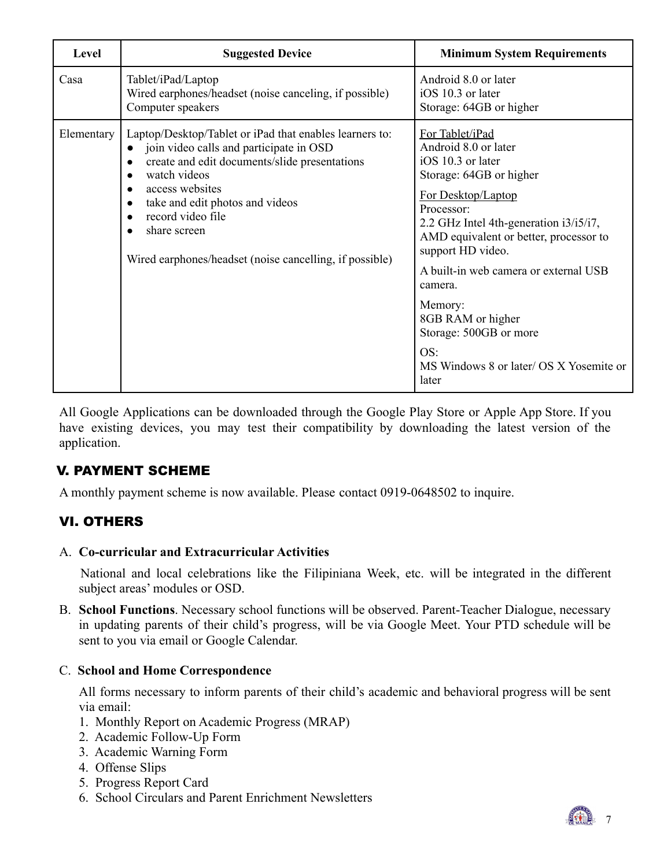| Level      | <b>Suggested Device</b>                                                                                                                                                                                                                                                                                                                | <b>Minimum System Requirements</b>                                                                                                                                                                                                                                                                                                                                                                            |
|------------|----------------------------------------------------------------------------------------------------------------------------------------------------------------------------------------------------------------------------------------------------------------------------------------------------------------------------------------|---------------------------------------------------------------------------------------------------------------------------------------------------------------------------------------------------------------------------------------------------------------------------------------------------------------------------------------------------------------------------------------------------------------|
| Casa       | Tablet/iPad/Laptop<br>Wired earphones/headset (noise canceling, if possible)<br>Computer speakers                                                                                                                                                                                                                                      | Android 8.0 or later<br>iOS 10.3 or later<br>Storage: 64GB or higher                                                                                                                                                                                                                                                                                                                                          |
| Elementary | Laptop/Desktop/Tablet or iPad that enables learners to:<br>join video calls and participate in OSD<br>create and edit documents/slide presentations<br>watch videos<br>access websites<br>take and edit photos and videos<br>record video file<br>share screen<br>$\bullet$<br>Wired earphones/headset (noise cancelling, if possible) | For Tablet/iPad<br>Android 8.0 or later<br>iOS 10.3 or later<br>Storage: 64GB or higher<br>For Desktop/Laptop<br>Processor:<br>2.2 GHz Intel 4th-generation i3/i5/i7,<br>AMD equivalent or better, processor to<br>support HD video.<br>A built-in web camera or external USB<br>camera.<br>Memory:<br>8GB RAM or higher<br>Storage: 500GB or more<br>OS:<br>MS Windows 8 or later/ OS X Yosemite or<br>later |

All Google Applications can be downloaded through the Google Play Store or Apple App Store. If you have existing devices, you may test their compatibility by downloading the latest version of the application.

## V. PAYMENT SCHEME

A monthly payment scheme is now available. Please contact 0919-0648502 to inquire.

# VI. OTHERS

#### A. **Co-curricular and Extracurricular Activities**

National and local celebrations like the Filipiniana Week, etc. will be integrated in the different subject areas' modules or OSD.

B. **School Functions**. Necessary school functions will be observed. Parent-Teacher Dialogue, necessary in updating parents of their child's progress, will be via Google Meet. Your PTD schedule will be sent to you via email or Google Calendar.

#### C. **School and Home Correspondence**

All forms necessary to inform parents of their child's academic and behavioral progress will be sent via email:

- 1. Monthly Report on Academic Progress (MRAP)
- 2. Academic Follow-Up Form
- 3. Academic Warning Form
- 4. Offense Slips
- 5. Progress Report Card
- 6. School Circulars and Parent Enrichment Newsletters